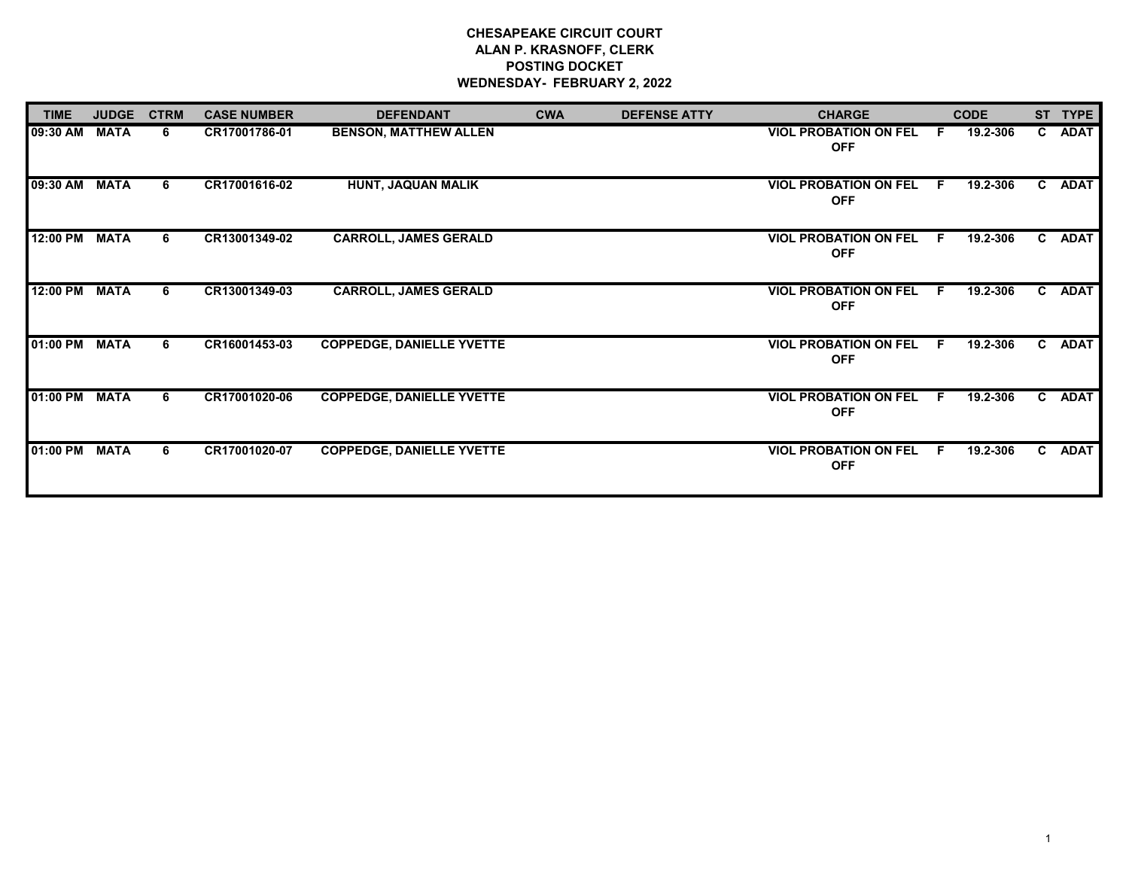## **CHESAPEAKE CIRCUIT COURT ALAN P. KRASNOFF, CLERK POSTING DOCKET WEDNESDAY- FEBRUARY 2, 2022**

| <b>TIME</b> | <b>JUDGE</b> | <b>CTRM</b> | <b>CASE NUMBER</b> | <b>DEFENDANT</b>                 | <b>CWA</b> | <b>DEFENSE ATTY</b> | <b>CHARGE</b>                              |    | <b>CODE</b> |    | ST TYPE     |
|-------------|--------------|-------------|--------------------|----------------------------------|------------|---------------------|--------------------------------------------|----|-------------|----|-------------|
| 09:30 AM    | <b>MATA</b>  | 6.          | CR17001786-01      | <b>BENSON, MATTHEW ALLEN</b>     |            |                     | <b>VIOL PROBATION ON FEL</b><br><b>OFF</b> | F  | 19.2-306    | C. | <b>ADAT</b> |
| 09:30 AM    | <b>MATA</b>  | 6           | CR17001616-02      | HUNT, JAQUAN MALIK               |            |                     | <b>VIOL PROBATION ON FEL</b><br><b>OFF</b> | F. | 19.2-306    | C. | <b>ADAT</b> |
| 12:00 PM    | <b>MATA</b>  | 6           | CR13001349-02      | <b>CARROLL, JAMES GERALD</b>     |            |                     | <b>VIOL PROBATION ON FEL</b><br><b>OFF</b> | F. | 19.2-306    | C. | <b>ADAT</b> |
| 12:00 PM    | <b>MATA</b>  | 6           | CR13001349-03      | <b>CARROLL, JAMES GERALD</b>     |            |                     | <b>VIOL PROBATION ON FEL</b><br><b>OFF</b> | E  | 19.2-306    | C. | <b>ADAT</b> |
| 01:00 PM    | <b>MATA</b>  | 6.          | CR16001453-03      | <b>COPPEDGE, DANIELLE YVETTE</b> |            |                     | <b>VIOL PROBATION ON FEL</b><br><b>OFF</b> | E  | 19.2-306    | C. | <b>ADAT</b> |
| 01:00 PM    | <b>MATA</b>  | 6           | CR17001020-06      | <b>COPPEDGE, DANIELLE YVETTE</b> |            |                     | <b>VIOL PROBATION ON FEL</b><br><b>OFF</b> | E  | 19.2-306    | C. | <b>ADAT</b> |
| 01:00 PM    | <b>MATA</b>  | 6           | CR17001020-07      | <b>COPPEDGE, DANIELLE YVETTE</b> |            |                     | <b>VIOL PROBATION ON FEL</b><br><b>OFF</b> | F  | 19.2-306    | C. | <b>ADAT</b> |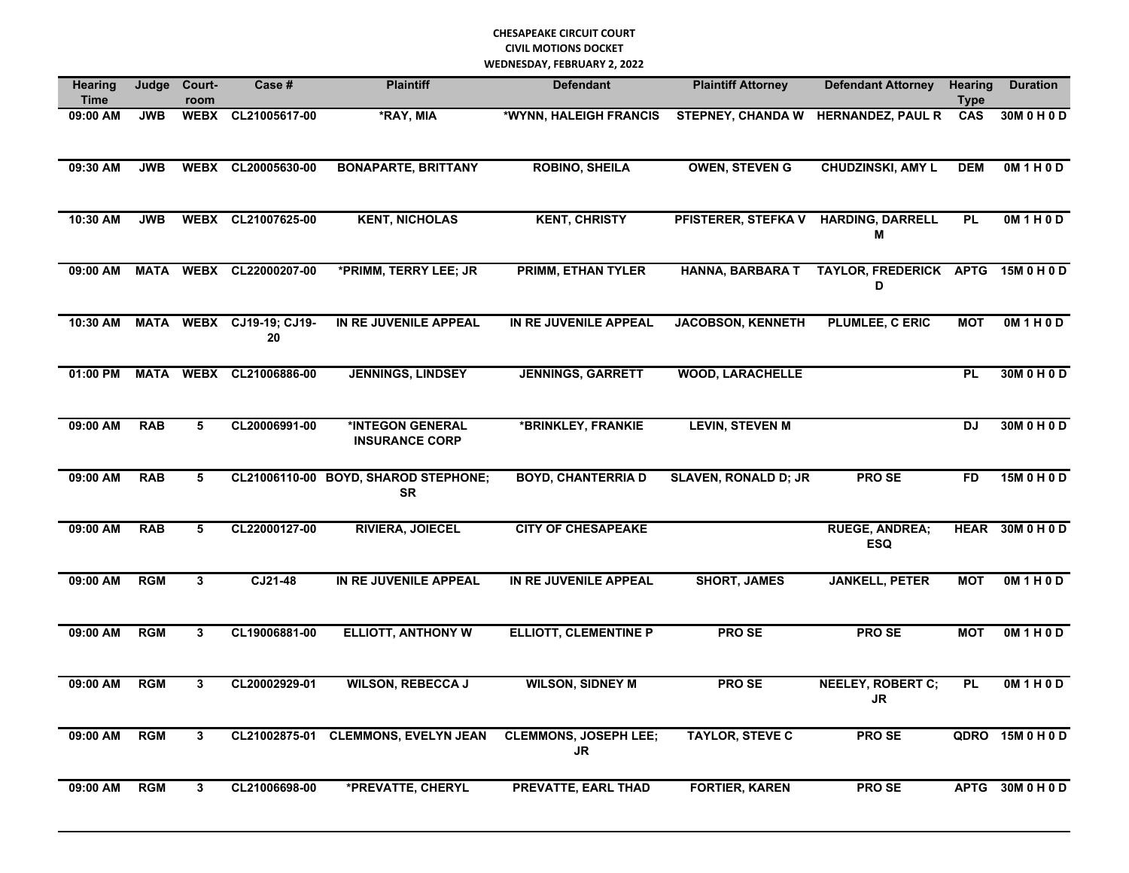## **CHESAPEAKE CIRCUIT COURT CIVIL MOTIONS DOCKET WEDNESDAY, FEBRUARY 2, 2022**

| <b>Hearing</b><br><b>Time</b> | Judge       | Court-<br>room | Case #                         | <b>Plaintiff</b>                                  | <b>Defendant</b>                          | <b>Plaintiff Attorney</b>            | <b>Defendant Attorney</b>               | <b>Hearing</b><br><b>Type</b> | <b>Duration</b>  |
|-------------------------------|-------------|----------------|--------------------------------|---------------------------------------------------|-------------------------------------------|--------------------------------------|-----------------------------------------|-------------------------------|------------------|
| 09:00 AM                      | <b>JWB</b>  | <b>WEBX</b>    | CL21005617-00                  | *RAY, MIA                                         | *WYNN, HALEIGH FRANCIS                    | <b>STEPNEY, CHANDA W</b>             | <b>HERNANDEZ, PAUL R</b>                | CAS                           | 30M 0 H 0 D      |
| 09:30 AM                      | <b>JWB</b>  | <b>WEBX</b>    | CL20005630-00                  | <b>BONAPARTE, BRITTANY</b>                        | <b>ROBINO, SHEILA</b>                     | <b>OWEN, STEVEN G</b>                | <b>CHUDZINSKI, AMY L</b>                | <b>DEM</b>                    | OM1H0D           |
| 10:30 AM                      | <b>JWB</b>  |                | WEBX CL21007625-00             | <b>KENT, NICHOLAS</b>                             | <b>KENT, CHRISTY</b>                      | PFISTERER, STEFKA V HARDING, DARRELL | M                                       | <b>PL</b>                     | OM1H0D           |
| 09:00 AM                      | <b>MATA</b> | <b>WEBX</b>    | CL22000207-00                  | *PRIMM, TERRY LEE; JR                             | <b>PRIMM, ETHAN TYLER</b>                 | <b>HANNA, BARBARA T</b>              | TAYLOR, FREDERICK APTG 15M 0 H 0 D<br>D |                               |                  |
| 10:30 AM                      |             |                | MATA WEBX CJ19-19; CJ19-<br>20 | IN RE JUVENILE APPEAL                             | IN RE JUVENILE APPEAL                     | <b>JACOBSON, KENNETH</b>             | <b>PLUMLEE, C ERIC</b>                  | <b>MOT</b>                    | OM1H0D           |
| 01:00 PM                      | <b>MATA</b> | <b>WEBX</b>    | CL21006886-00                  | <b>JENNINGS, LINDSEY</b>                          | <b>JENNINGS, GARRETT</b>                  | <b>WOOD, LARACHELLE</b>              |                                         | <b>PL</b>                     | 30M 0 H 0 D      |
| 09:00 AM                      | <b>RAB</b>  | 5              | CL20006991-00                  | *INTEGON GENERAL<br><b>INSURANCE CORP</b>         | *BRINKLEY, FRANKIE                        | <b>LEVIN, STEVEN M</b>               |                                         | <b>DJ</b>                     | 30M 0 H 0 D      |
| 09:00 AM                      | <b>RAB</b>  | 5              |                                | CL21006110-00 BOYD, SHAROD STEPHONE;<br><b>SR</b> | <b>BOYD, CHANTERRIA D</b>                 | <b>SLAVEN, RONALD D; JR</b>          | <b>PROSE</b>                            | <b>FD</b>                     | 15M 0 H 0 D      |
| $09:00$ AM                    | <b>RAB</b>  | 5              | CL22000127-00                  | <b>RIVIERA, JOIECEL</b>                           | <b>CITY OF CHESAPEAKE</b>                 |                                      | <b>RUEGE, ANDREA;</b><br><b>ESQ</b>     | <b>HEAR</b>                   | 30M 0 H 0 D      |
| 09:00 AM                      | <b>RGM</b>  | 3              | CJ21-48                        | IN RE JUVENILE APPEAL                             | IN RE JUVENILE APPEAL                     | <b>SHORT, JAMES</b>                  | <b>JANKELL, PETER</b>                   | <b>MOT</b>                    | OM1H0D           |
| 09:00 AM                      | <b>RGM</b>  | 3              | CL19006881-00                  | <b>ELLIOTT, ANTHONY W</b>                         | <b>ELLIOTT, CLEMENTINE P</b>              | <b>PROSE</b>                         | <b>PROSE</b>                            | <b>MOT</b>                    | OM1H0D           |
| 09:00 AM                      | <b>RGM</b>  | 3              | CL20002929-01                  | <b>WILSON, REBECCA J</b>                          | <b>WILSON, SIDNEY M</b>                   | <b>PROSE</b>                         | <b>NEELEY, ROBERT C;</b><br><b>JR</b>   | PL                            | OM1H0D           |
| 09:00 AM                      | <b>RGM</b>  | 3              |                                | CL21002875-01 CLEMMONS, EVELYN JEAN               | <b>CLEMMONS, JOSEPH LEE;</b><br><b>JR</b> | <b>TAYLOR, STEVE C</b>               | <b>PROSE</b>                            |                               | QDRO 15M 0 H 0 D |
| $09:00$ AM                    | <b>RGM</b>  | 3              | CL21006698-00                  | *PREVATTE, CHERYL                                 | <b>PREVATTE, EARL THAD</b>                | <b>FORTIER, KAREN</b>                | <b>PROSE</b>                            | <b>APTG</b>                   | 30M 0 H 0 D      |